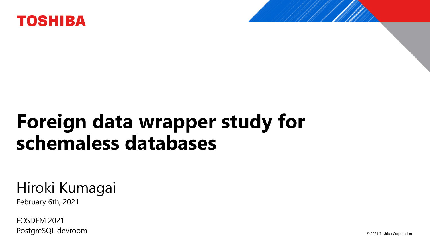

## **Foreign data wrapper study for schemaless databases**

#### Hiroki Kumagai

February 6th, 2021

FOSDEM 2021 PostgreSQL devroom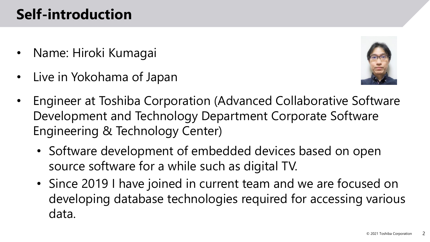#### **Self-introduction**

- Name: Hiroki Kumagai
- Live in Yokohama of Japan



- Engineer at Toshiba Corporation (Advanced Collaborative Software Development and Technology Department Corporate Software Engineering & Technology Center)
	- Software development of embedded devices based on open source software for a while such as digital TV.
	- Since 2019 I have joined in current team and we are focused on developing database technologies required for accessing various data.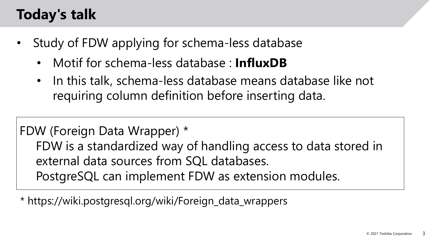#### **Today's talk**

- Study of FDW applying for schema-less database
	- Motif for schema-less database : **InfluxDB**
	- In this talk, schema-less database means database like not requiring column definition before inserting data.

FDW (Foreign Data Wrapper) \* FDW is a standardized way of handling access to data stored in external data sources from SQL databases. PostgreSQL can implement FDW as extension modules.

\* https://wiki.postgresql.org/wiki/Foreign\_data\_wrappers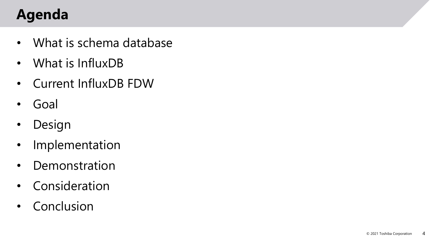## **Agenda**

- What is schema database
- What is InfluxDB
- Current InfluxDB FDW
- Goal
- Design
- Implementation
- Demonstration
- Consideration
- Conclusion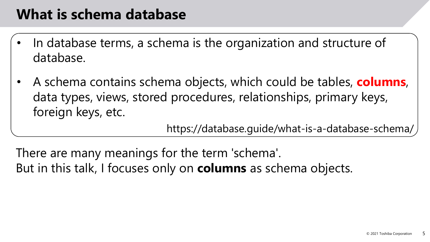#### **What is schema database**

- In database terms, a schema is the organization and structure of database.
- A schema contains schema objects, which could be tables, **columns**, data types, views, stored procedures, relationships, primary keys, foreign keys, etc.

https://database.guide/what-is-a-database-schema/

There are many meanings for the term 'schema'. But in this talk, I focuses only on **columns** as schema objects.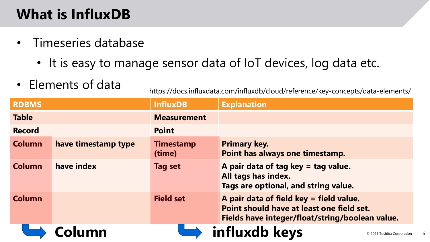## **What is InfluxDB**

- Timeseries database
	- It is easy to manage sensor data of IoT devices, log data etc.
- 

• Elements of data<br>https://docs.influxdata.com/influxdb/cloud/reference/key-concepts/data-elements/

| <b>RDBMS</b>  |                     | <b>InfluxDB</b>            | <b>Explanation</b>                                                                                                                      |
|---------------|---------------------|----------------------------|-----------------------------------------------------------------------------------------------------------------------------------------|
| <b>Table</b>  |                     | <b>Measurement</b>         |                                                                                                                                         |
| <b>Record</b> |                     | <b>Point</b>               |                                                                                                                                         |
| <b>Column</b> | have timestamp type | <b>Timestamp</b><br>(time) | <b>Primary key.</b><br>Point has always one timestamp.                                                                                  |
| <b>Column</b> | have index          | Tag set                    | A pair data of tag key = tag value.<br>All tags has index.<br>Tags are optional, and string value.                                      |
| <b>Column</b> |                     | <b>Field set</b>           | A pair data of field key = field value.<br>Point should have at least one field set.<br>Fields have integer/float/string/boolean value. |
|               | Column              |                            | influxdb keys<br>© 2021 Toshiba Corporation                                                                                             |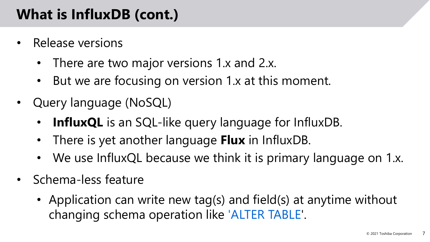#### **What is InfluxDB (cont.)**

- Release versions
	- There are two major versions 1.x and 2.x.
	- But we are focusing on version 1.x at this moment.
- Query language (NoSQL)
	- **InfluxQL** is an SQL-like query language for InfluxDB.
	- There is yet another language **Flux** in InfluxDB.
	- We use InfluxQL because we think it is primary language on 1.x.
- Schema-less feature
	- Application can write new tag(s) and field(s) at anytime without changing schema operation like 'ALTER TABLE'.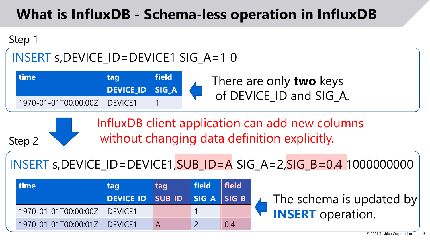#### **What is InfluxDB - Schema-less operation in InfluxDB**



Step 2

#### INSERT s,DEVICE\_ID=DEVICE1 SIG\_A=1 0

| time                         | tag             | field |  |
|------------------------------|-----------------|-------|--|
|                              | DEVICE ID SIG A |       |  |
| 1970-01-01T00:00:00Z DEVICE1 |                 |       |  |

There are only **two** keys of DEVICE ID and SIG A.

InfluxDB client application can add new columns without changing data definition explicitly.

INSERT s,DEVICE ID=DEVICE1, SUB ID=A SIG A=2, SIG B=0.4 1000000000

| <b>Itime</b>         | tag                          | tag | $\vert$ field $\vert$ field |     |                          |  |
|----------------------|------------------------------|-----|-----------------------------|-----|--------------------------|--|
|                      | DEVICE_ID SUB_ID SIG_A SIG_B |     |                             |     | The schema is updated by |  |
| 1970-01-01T00:00:00Z | DEVICE1                      |     |                             |     | <b>INSERT</b> operation. |  |
| 1970-01-01T00:00:01Z | <b>DEVICE1</b>               |     |                             | 0.4 |                          |  |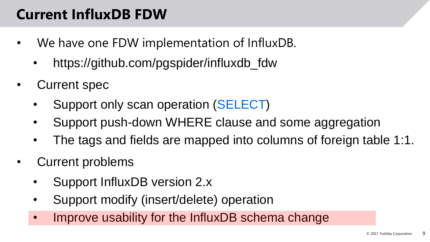#### **Current InfluxDB FDW**

- We have one FDW implementation of InfluxDB.
	- https://github.com/pgspider/influxdb\_fdw
- Current spec
	- Support only scan operation (SELECT)
	- Support push-down WHERE clause and some aggregation
	- The tags and fields are mapped into columns of foreign table 1:1.
- Current problems
	- Support InfluxDB version 2.x
	- Support modify (insert/delete) operation
	- Improve usability for the InfluxDB schema change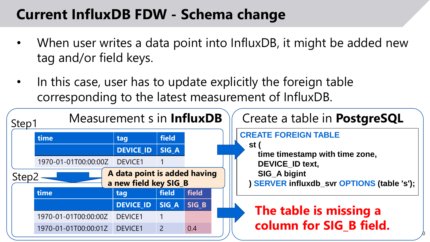#### **Current InfluxDB FDW - Schema change**

- When user writes a data point into InfluxDB, it might be added new tag and/or field keys.
- In this case, user has to update explicitly the foreign table corresponding to the latest measurement of InfluxDB.

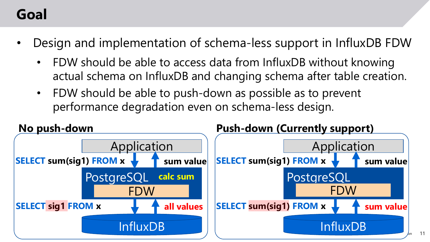#### **Goal**

- Design and implementation of schema-less support in InfluxDB FDW
	- FDW should be able to access data from InfluxDB without knowing actual schema on InfluxDB and changing schema after table creation.
	- FDW should be able to push-down as possible as to prevent performance degradation even on schema-less design.

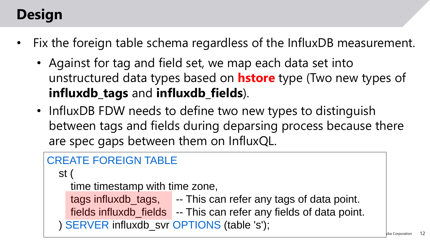## **Design**

- Fix the foreign table schema regardless of the InfluxDB measurement.
	- Against for tag and field set, we map each data set into unstructured data types based on **hstore** type (Two new types of **influxdb\_tags** and **influxdb\_fields**).
	- InfluxDB FDW needs to define two new types to distinguish between tags and fields during deparsing process because there are spec gaps between them on InfluxQL.

```
CREATE FOREIGN TABLE
 st (
   time timestamp with time zone,
   tags influxdb_tags, - This can refer any tags of data point.
   fields influxdb_fields -- This can refer any fields of data point.
 ) SERVER influxdb_svr OPTIONS (table 's');
```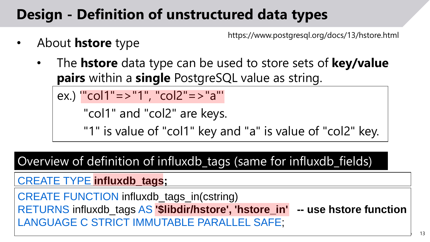## **Design - Definition of unstructured data types**

https://www.postgresql.org/docs/13/hstore.html

- About **hstore** type
	- The **hstore** data type can be used to store sets of **key/value pairs** within a **single** PostgreSQL value as string.

```
ex.) '"col1"=>"1", "col2"=>"a"'
```

```
"col1" and "col2" are keys.
```
"1" is value of "col1" key and "a" is value of "col2" key.

Overview of definition of influxdb\_tags (same for influxdb\_fields)

#### CREATE TYPE **influxdb\_tags;**

CREATE FUNCTION influxdb\_tags\_in(cstring) RETURNS influxdb\_tags AS **'\$libdir/hstore', 'hstore\_in' -- use hstore function** LANGUAGE C STRICT IMMUTABLE PARALLEL SAFE;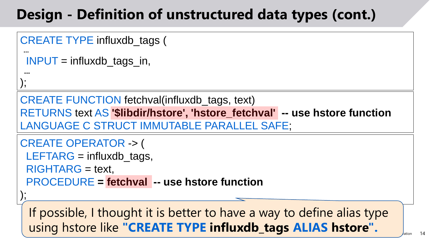#### **Design - Definition of unstructured data types (cont.)**

```
CREATE TYPE influxdb_tags (
```

```
INPUT = influxdb_tags_in,
```
**...** );

);

**...**

CREATE FUNCTION fetchval(influxdb\_tags, text) RETURNS text AS **'\$libdir/hstore', 'hstore\_fetchval' -- use hstore function** LANGUAGE C STRUCT IMMUTABLE PARALLEL SAFE;

```
CREATE OPERATOR -> (
```
 $LEFTARG = influxdb\_tags,$ 

RIGHTARG = text,

PROCEDURE **= fetchval -- use hstore function**

 $\sqrt{202}$   $\sqrt{20}$ If possible, I thought it is better to have a way to define alias type using hstore like **"CREATE TYPE influxdb\_tags ALIAS hstore".**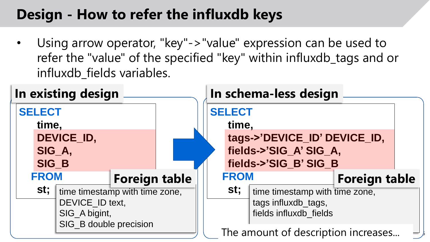## **Design - How to refer the influxdb keys**

• Using arrow operator, "key"->"value" expression can be used to refer the "value" of the specified "key" within influxdb\_tags and or influxdb fields variables.

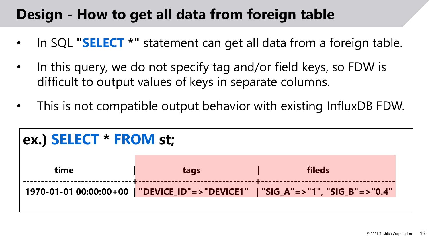#### **Design - How to get all data from foreign table**

- In SQL **"SELECT \*"** statement can get all data from a foreign table.
- In this query, we do not specify tag and/or field keys, so FDW is difficult to output values of keys in separate columns.
- This is not compatible output behavior with existing InfluxDB FDW.

| ex.) SELECT * FROM st; |      |                                                                                   |  |  |  |
|------------------------|------|-----------------------------------------------------------------------------------|--|--|--|
| time                   | tags | fileds                                                                            |  |  |  |
|                        |      | 1970-01-01 00:00:00+00   "DEVICE_ID"=> "DEVICE1"   "SIG_A"=> "1", "SIG_B"=> "0.4" |  |  |  |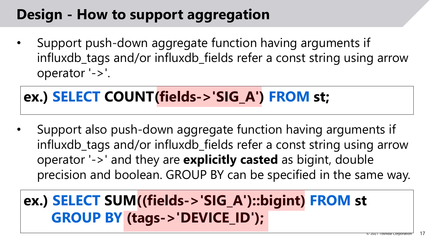#### **Design - How to support aggregation**

• Support push-down aggregate function having arguments if influxdb\_tags and/or influxdb\_fields refer a const string using arrow operator '->'.

#### **ex.) SELECT COUNT(fields->'SIG\_A') FROM st;**

• Support also push-down aggregate function having arguments if influxdb\_tags and/or influxdb\_fields refer a const string using arrow operator '->' and they are **explicitly casted** as bigint, double precision and boolean. GROUP BY can be specified in the same way.

#### **ex.) SELECT SUM((fields->'SIG\_A')::bigint) FROM st GROUP BY (tags->'DEVICE\_ID');**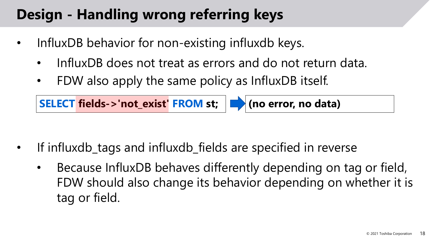#### **Design - Handling wrong referring keys**

- InfluxDB behavior for non-existing influxdb keys.
	- InfluxDB does not treat as errors and do not return data.
	- FDW also apply the same policy as InfluxDB itself.



- If influxdb\_tags and influxdb\_fields are specified in reverse
	- Because InfluxDB behaves differently depending on tag or field, FDW should also change its behavior depending on whether it is tag or field.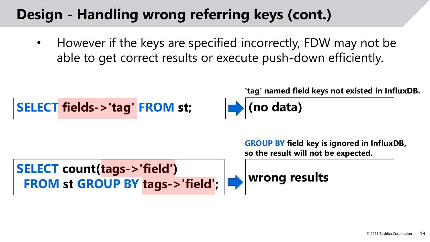#### **Design - Handling wrong referring keys (cont.)**

• However if the keys are specified incorrectly, FDW may not be able to get correct results or execute push-down efficiently.



**'tag' named field keys not existed in InfluxDB.**

**GROUP BY field key is ignored in InfluxDB, so the result will not be expected.**

```
SELECT count(tags->'field')
FROM st GROUP BY tags->'field'; wrong results
```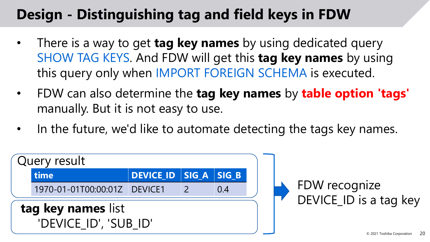## **Design - Distinguishing tag and field keys in FDW**

- There is a way to get **tag key names** by using dedicated query SHOW TAG KEYS. And FDW will get this **tag key names** by using this query only when IMPORT FOREIGN SCHEMA is executed.
- FDW can also determine the **tag key names** by **table option 'tags'**  manually. But it is not easy to use.
- In the future, we'd like to automate detecting the tags key names.

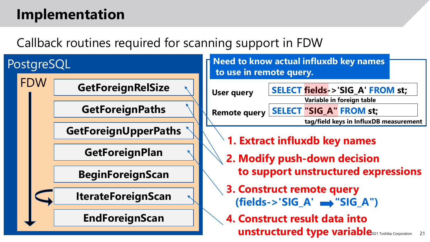#### **Implementation**

#### Callback routines required for scanning support in FDW

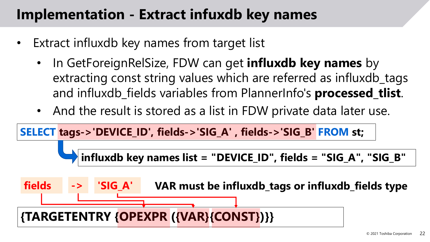#### **Implementation - Extract infuxdb key names**

- Extract influxdb key names from target list
	- In GetForeignRelSize, FDW can get **influxdb key names** by extracting const string values which are referred as influxdb\_tags and influxdb\_fields variables from PlannerInfo's **processed\_tlist**.
	- And the result is stored as a list in FDW private data later use.

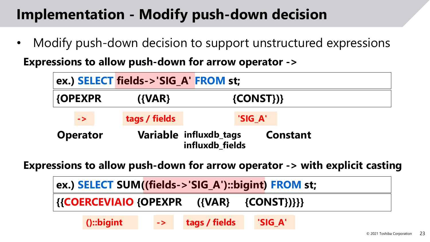#### **Implementation - Modify push-down decision**

Modify push-down decision to support unstructured expressions

**Expressions to allow push-down for arrow operator ->**

|                 |               | ex.) SELECT fields->'SIG_A' FROM st; |                                           |         |                 |  |
|-----------------|---------------|--------------------------------------|-------------------------------------------|---------|-----------------|--|
| <b>{OPEXPR</b>  |               | $\{VAR\}$                            | $\{CONST\}\$                              |         |                 |  |
|                 | $\rightarrow$ | tags / fields                        |                                           | 'SIG_A' |                 |  |
| <b>Operator</b> |               |                                      | Variable influxdb_tags<br>influxdb fields |         | <b>Constant</b> |  |

**Expressions to allow push-down for arrow operator -> with explicit casting**

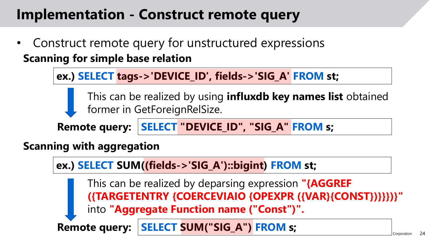#### **Implementation - Construct remote query**

• Construct remote query for unstructured expressions **Scanning for simple base relation**

**ex.) SELECT tags->'DEVICE\_ID', fields->'SIG\_A' FROM st;**

This can be realized by using **influxdb key names list** obtained former in GetForeignRelSize.

**Remote query: SELECT "DEVICE\_ID", "SIG\_A" FROM s;**

**Scanning with aggregation**

**ex.) SELECT SUM((fields->'SIG\_A')::bigint) FROM st; Remote query: SELECT SUM("SIG\_A") FROM s;** This can be realized by deparsing expression **"{AGGREF ({TARGETENTRY {COERCEVIAIO {OPEXPR ({VAR}{CONST})}}})}"** into **"Aggregate Function name ("Const")".**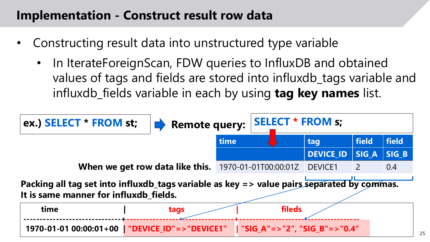#### **Implementation - Construct result row data**

- Constructing result data into unstructured type variable
	- In IterateForeignScan, FDW queries to InfluxDB and obtained values of tags and fields are stored into influxdb\_tags variable and influxdb\_fields variable in each by using **tag key names** list.

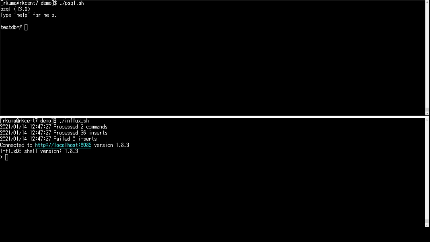[rkuma@rkcent7 demo]\$ ./psql.sh psql (13.0)<br>Type "help" for help.

testdb=# []

[rkuma@rkcent7 demo]\$ ./influx.sh 2021/01/14 12:47:27 Processed 2 commands 2021/01/14 12:47:27 Processed 36 inserts 2021/01/14 12:47:27 Failed 0 inserts Connected to http://localhost:8086 version 1.8.3 InfluxDB shell version: 1.8.3  $\overline{\phantom{a}}$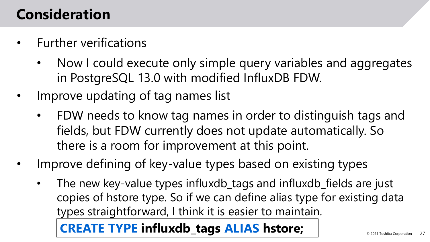#### **Consideration**

- Further verifications
	- Now I could execute only simple query variables and aggregates in PostgreSQL 13.0 with modified InfluxDB FDW.
- Improve updating of tag names list
	- FDW needs to know tag names in order to distinguish tags and fields, but FDW currently does not update automatically. So there is a room for improvement at this point.
- Improve defining of key-value types based on existing types
	- The new key-value types influxdb\_tags and influxdb\_fields are just copies of hstore type. So if we can define alias type for existing data types straightforward, I think it is easier to maintain.

**CREATE TYPE influxdb\_tags ALIAS hstore;**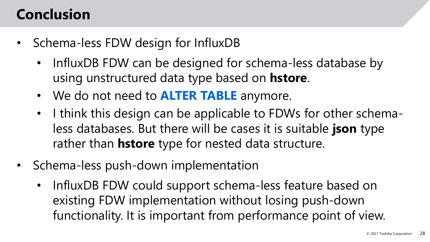#### **Conclusion**

- Schema-less FDW design for InfluxDB
	- InfluxDB FDW can be designed for schema-less database by using unstructured data type based on **hstore**.
	- We do not need to **ALTER TABLE** anymore.
	- I think this design can be applicable to FDWs for other schemaless databases. But there will be cases it is suitable **json** type rather than **hstore** type for nested data structure.
- Schema-less push-down implementation
	- InfluxDB FDW could support schema-less feature based on existing FDW implementation without losing push-down functionality. It is important from performance point of view.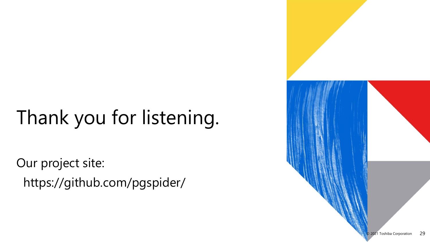# Thank you for listening.

Our project site: https://github.com/pgspider/